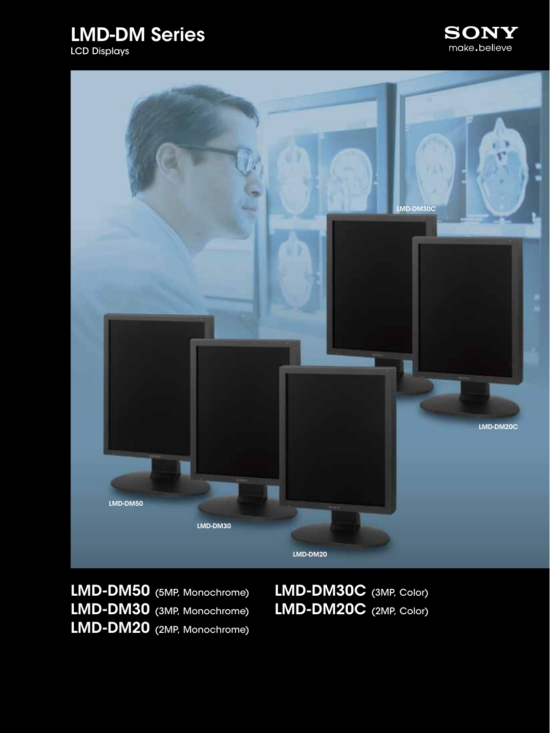





LMD-DM50 (5MP, Monochrome) LMD-DM30 (3MP, Monochrome) LMD-DM20 (2MP, Monochrome)

LMD-DM30C (3MP, Color) LMD-DM20C (2MP, Color)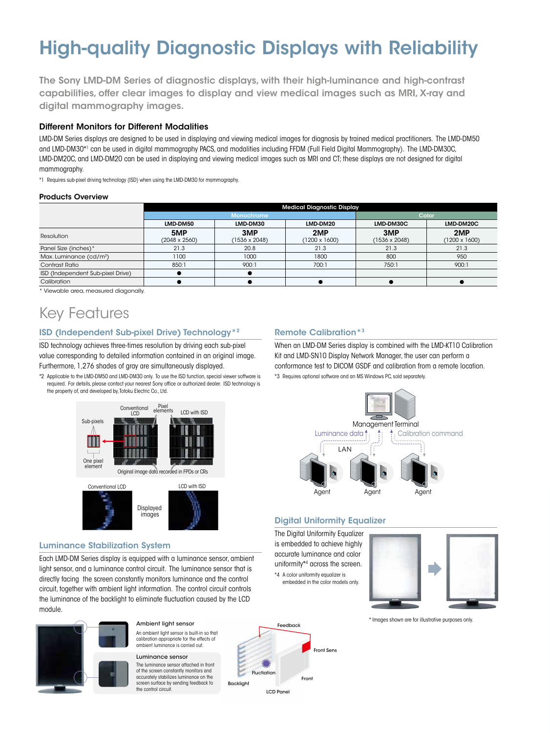# High-quality Diagnostic Displays with Reliability

The Sony LMD-DM Series of diagnostic displays, with their high-luminance and high-contrast capabilities, offer clear images to display and view medical images such as MRI, X-ray and digital mammography images.

### Different Monitors for Different Modalities

LMD-DM Series displays are designed to be used in displaying and viewing medical images for diagnosis by trained medical practitioners. The LMD-DM50 and LMD-DM30\*1 can be used in digital mammography PACS, and modalities including FFDM (Full Field Digital Mammography). The LMD-DM30C, LMD-DM20C, and LMD-DM20 can be used in displaying and viewing medical images such as MRI and CT; these displays are not designed for digital mammography.

\*1 Requires sub-pixel driving technology (ISD) when using the LMD-DM30 for mammography.

### Products Overview

|                                     | <b>Medical Diagnostic Display</b> |                             |                             |                             |                             |  |  |
|-------------------------------------|-----------------------------------|-----------------------------|-----------------------------|-----------------------------|-----------------------------|--|--|
|                                     | Monochrome                        |                             |                             | Color                       |                             |  |  |
|                                     | LMD-DM50                          | LMD-DM30                    | LMD-DM20                    | LMD-DM30C                   | LMD-DM20C                   |  |  |
| Resolution                          | 5MP<br>$(2048 \times 2560)$       | 3MP<br>$(1536 \times 2048)$ | 2MP<br>$(1200 \times 1600)$ | 3MP<br>$(1536 \times 2048)$ | 2MP<br>$(1200 \times 1600)$ |  |  |
| Panel Size (inches)*                | 21.3                              | 20.8                        | 21.3                        | 21.3                        | 21.3                        |  |  |
| Max. Luminance (cd/m <sup>2</sup> ) | 1100                              | 1000                        | 1800                        | 800                         | 950                         |  |  |
| Contrast Ratio                      | 850:1                             | 900:1                       | 700:1                       | 750:1                       | 900:1                       |  |  |
| ISD (Independent Sub-pixel Drive)   |                                   |                             |                             |                             |                             |  |  |
| Calibration                         |                                   |                             |                             |                             |                             |  |  |

\* Viewable area, measured diagonally.

### Key Features

### ISD (Independent Sub-pixel Drive) Technology\*2

ISD technology achieves three-times resolution by driving each sub-pixel value corresponding to detailed information contained in an original image. Furthermore, 1,276 shades of gray are simultaneously displayed.

\*2 Applicable to the LMD-DM50 and LMD-DM30 only. To use the ISD function, special viewer software is required. For details, please contact your nearest Sony office or authorized dealer. ISD technology is the property of, and developed by, Totoku Electric Co., Ltd.



images

### Luminance Stabilization System

Each LMD-DM Series display is equipped with a luminance sensor, ambient light sensor, and a luminance control circuit. The luminance sensor that is directly facing the screen constantly monitors luminance and the control circuit, together with ambient light information. The control circuit controls the luminance of the backlight to eliminate fluctuation caused by the LCD module.



### An ambient light sensor is built-in so that Ambient light sensor

Luminance sensor calibration appropriate for the effects of ambient luminance is carried out.

The luminance sensor attached in front of the screen constantly monitors and accurately stabilizes luminance on the screen surface by sending feedback to the control circuit

### Remote Calibration\*3

When an LMD-DM Series display is combined with the LMD-KT10 Calibration Kit and LMD-SN10 Display Network Manager, the user can perform a conformance test to DICOM GSDF and calibration from a remote location.

\*3 Requires optional software and an MS Windows PC, sold separately.



### Digital Uniformity Equalizer

The Digital Uniformity Equalizer is embedded to achieve highly accurate luminance and color uniformity\*4 across the screen. \*4 A color uniformity equalizer is embedded in the color models only.



\* Images shown are for illustrative purposes only.

### Feedback LCD Panel Backlight Front Front **Fluctiation**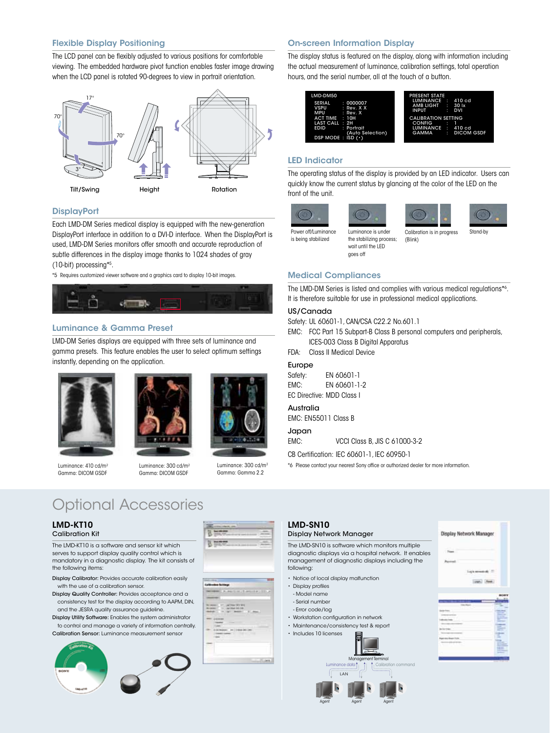### Flexible Display Positioning

The LCD panel can be flexibly adjusted to various positions for comfortable viewing. The embedded hardware pivot function enables faster image drawing when the LCD panel is rotated 90-degrees to view in portrait orientation.



### **DisplayPort**

Each LMD-DM Series medical display is equipped with the new-generation DisplayPort interface in addition to a DVI-D interface. When the DisplayPort is used, LMD-DM Series monitors offer smooth and accurate reproduction of subtle differences in the display image thanks to 1024 shades of gray (10-bit) processing\*5 .

\*5 Requires customized viewer software and a graphics card to display 10-bit images.



### Luminance & Gamma Preset

LMD-DM Series displays are equipped with three sets of luminance and gamma presets. This feature enables the user to select optimum settings instantly, depending on the application.



Luminance: 410 cd/m2 Gamma: DICOM GSDF





Luminance: 300 cd/m2 Gamma: Gamma 2.2 Luminance: 300 cd/m2 Gamma: DICOM GSDF

賀井

## Optional Accessories

#### LMD-KT10 Calibration Kit

The LMD-KT10 is a software and sensor kit which serves to support display quality control which is mandatory in a diagnostic display. The kit consists of the following items:

- Display Calibrator: Provides accurate calibration easily with the use of a calibration sensor.
- Display Quality Controller: Provides acceptance and a consistency test for the display according to AAPM, DIN, and the JESRA quality assurance guideline.
- Display Utility Software: Enables the system administrator to control and manage a variety of information centrally.

Calibration Sensor: Luminance measurement sensor



### On-screen Information Display

The display status is featured on the display, along with information including the actual measurement of luminance, calibration settings, total operation hours, and the serial number, all at the touch of a button.



### LED Indicator

The operating status of the display is provided by an LED indicator. Users can quickly know the current status by glancing at the color of the LED on the front of the unit.









Power off/Luminance is being stabilized wait until the LED goes off

(Blink) Luminance is under the stabilizing process;

Calibration is in progress Stand-by

### Medical Compliances

The LMD-DM Series is listed and complies with various medical regulations\*6 . It is therefore suitable for use in professional medical applications.

### US/Canada

Safety: UL 60601-1, CAN/CSA C22.2 No.601.1

- EMC: FCC Part 15 Subpart-B Class B personal computers and peripherals, ICES-003 Class B Digital Apparatus
- FDA: Class II Medical Device

### Europe

Safety: EN 60601-1 EMC: EN 60601-1-2 EC Directive: MDD Class I

### Australia

EMC: EN55011 Class B

Japan

EMC: VCCI Class B, JIS C 61000-3-2

CB Certification: IEC 60601-1, IEC 60950-1

\*6 Please contact your nearest Sony office or authorized dealer for more information.

### LMD-SN10

### Display Network Manager

The LMD-SN10 is software which monitors multiple diagnostic displays via a hospital network. It enables management of diagnostic displays including the following:

- Notice of local display malfunction
- Display profiles
- Model name
- Serial number
- Error code/log
- • Workstation configuration in network • Maintenance/consistency test & report
- Includes 10 licenses
	-





|   | -<br><b>Service Control</b> |
|---|-----------------------------|
|   | -<br>                       |
|   |                             |
|   | -                           |
|   |                             |
|   |                             |
|   | -<br>ŧ                      |
| ÷ |                             |
|   |                             |
|   | ---                         |
|   |                             |
|   |                             |